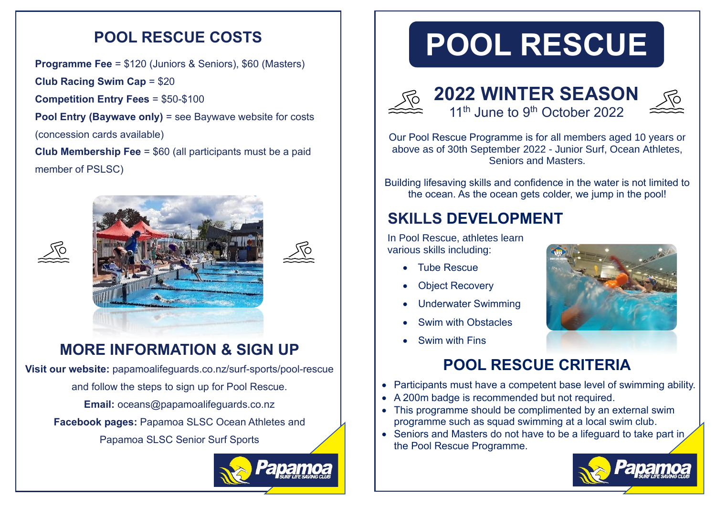#### **POOL RESCUE COSTS**

**Programme Fee** = \$120 (Juniors & Seniors), \$60 (Masters)

**Club Racing Swim Cap** = \$20

**Competition Entry Fees** = \$50-\$100

**Pool Entry (Baywave only)** = see Baywave website for costs

(concession cards available)

**Club Membership Fee** = \$60 (all participants must be a paid member of PSLSC)



### **MORE INFORMATION & SIGN UP**

**Visit our website:** papamoalifeguards.co.nz/surf-sports/pool-rescue and follow the steps to sign up for Pool Rescue.

**Email:** oceans@papamoalifeguards.co.nz

**Facebook pages:** [Papamoa SLSC Ocean Athletes](https://www.facebook.com/groups/144698006124640/) and

Papamoa SLSC Senior Surf Sports



# **POOL RESCUE**



**2022 WINTER SEASON** 11<sup>th</sup> June to 9<sup>th</sup> October 2022



Our Pool Rescue Programme is for all members aged 10 years or above as of 30th September 2022 - Junior Surf, Ocean Athletes, Seniors and Masters.

Building lifesaving skills and confidence in the water is not limited to the ocean. As the ocean gets colder, we jump in the pool!

## **SKILLS DEVELOPMENT**

In Pool Rescue, athletes learn various skills including:

- Tube Rescue
- **Object Recovery**
- Underwater Swimming
- Swim with Obstacles



• Swim with Fins

## **POOL RESCUE CRITERIA**

- Participants must have a competent base level of swimming ability.
- A 200m badge is recommended but not required.
- This programme should be complimented by an external swim programme such as squad swimming at a local swim club.
- Seniors and Masters do not have to be a lifeguard to take part in the Pool Rescue Programme.